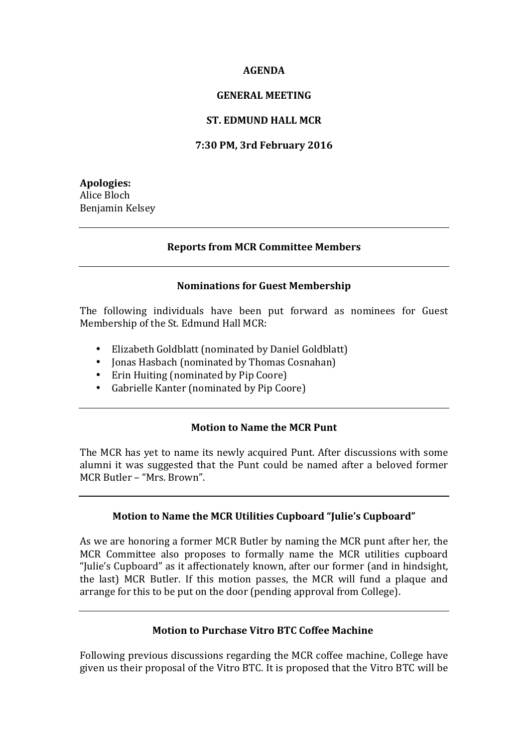#### **AGENDA**

#### **GENERAL MEETING**

#### **ST. EDMUND HALL MCR**

### **7:30 PM, 3rd February 2016**

**Apologies:** Alice Bloch Benjamin Kelsey

#### **Reports from MCR Committee Members**

#### **Nominations for Guest Membership**

The following individuals have been put forward as nominees for Guest Membership of the St. Edmund Hall MCR:

- Elizabeth Goldblatt (nominated by Daniel Goldblatt)
- Jonas Hasbach (nominated by Thomas Cosnahan)
- Erin Huiting (nominated by Pip Coore)
- Gabrielle Kanter (nominated by Pip Coore)

### **Motion to Name the MCR Punt**

The MCR has yet to name its newly acquired Punt. After discussions with some alumni it was suggested that the Punt could be named after a beloved former MCR Butler – "Mrs. Brown".

### **Motion to Name the MCR Utilities Cupboard "Julie's Cupboard"**

As we are honoring a former MCR Butler by naming the MCR punt after her, the MCR Committee also proposes to formally name the MCR utilities cupboard "Julie's Cupboard" as it affectionately known, after our former (and in hindsight, the last) MCR Butler. If this motion passes, the MCR will fund a plaque and arrange for this to be put on the door (pending approval from College).

### **Motion to Purchase Vitro BTC Coffee Machine**

Following previous discussions regarding the MCR coffee machine, College have given us their proposal of the Vitro BTC. It is proposed that the Vitro BTC will be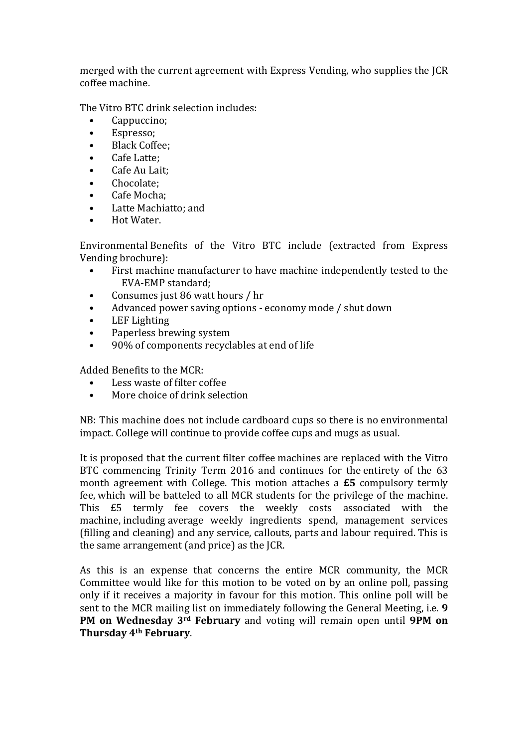merged with the current agreement with Express Vending, who supplies the JCR coffee machine.

The Vitro BTC drink selection includes:

- Cappuccino;
- Espresso;
- Black Coffee;
- Cafe Latte;
- Cafe Au Lait;
- Chocolate;
- Cafe Mocha;
- Latte Machiatto; and
- Hot Water.

Environmental Benefits of the Vitro BTC include (extracted from Express Vending brochure):

- First machine manufacturer to have machine independently tested to the EVA-EMP standard:
- Consumes just 86 watt hours / hr
- Advanced power saving options economy mode / shut down
- LEF Lighting
- Paperless brewing system
- 90% of components recyclables at end of life

Added Benefits to the MCR:

- Less waste of filter coffee
- More choice of drink selection

NB: This machine does not include cardboard cups so there is no environmental impact. College will continue to provide coffee cups and mugs as usual.

It is proposed that the current filter coffee machines are replaced with the Vitro BTC commencing Trinity Term 2016 and continues for the entirety of the 63 month agreement with College. This motion attaches a **£5** compulsory termly fee, which will be batteled to all MCR students for the privilege of the machine. This £5 termly fee covers the weekly costs associated with the machine, including average weekly ingredients spend, management services (filling and cleaning) and any service, callouts, parts and labour required. This is the same arrangement (and price) as the JCR.

As this is an expense that concerns the entire MCR community, the MCR Committee would like for this motion to be voted on by an online poll, passing only if it receives a majority in favour for this motion. This online poll will be sent to the MCR mailing list on immediately following the General Meeting, i.e. 9 **PM** on Wednesday 3<sup>rd</sup> February and voting will remain open until 9PM on **Thursday 4th February**.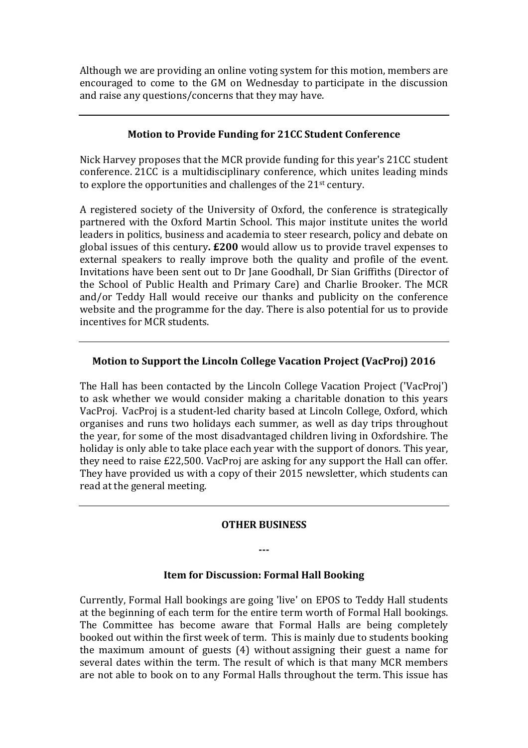Although we are providing an online voting system for this motion, members are encouraged to come to the GM on Wednesday to participate in the discussion and raise any questions/concerns that they may have.

## **Motion to Provide Funding for 21CC Student Conference**

Nick Harvey proposes that the MCR provide funding for this year's 21CC student conference. 21CC is a multidisciplinary conference, which unites leading minds to explore the opportunities and challenges of the  $21^{st}$  century.

A registered society of the University of Oxford, the conference is strategically partnered with the Oxford Martin School. This major institute unites the world leaders in politics, business and academia to steer research, policy and debate on global issues of this century. £200 would allow us to provide travel expenses to external speakers to really improve both the quality and profile of the event. Invitations have been sent out to Dr Jane Goodhall, Dr Sian Griffiths (Director of the School of Public Health and Primary Care) and Charlie Brooker. The MCR and/or Teddy Hall would receive our thanks and publicity on the conference website and the programme for the day. There is also potential for us to provide incentives for MCR students.

# **Motion to Support the Lincoln College Vacation Project (VacProj) 2016**

The Hall has been contacted by the Lincoln College Vacation Project ('VacProj') to ask whether we would consider making a charitable donation to this years VacProj. VacProj is a student-led charity based at Lincoln College, Oxford, which organises and runs two holidays each summer, as well as day trips throughout the year, for some of the most disadvantaged children living in Oxfordshire. The holiday is only able to take place each year with the support of donors. This year, they need to raise  $£22,500$ . VacProj are asking for any support the Hall can offer. They have provided us with a copy of their 2015 newsletter, which students can read at the general meeting.

### **OTHER BUSINESS**

**---**

### **Item for Discussion: Formal Hall Booking**

Currently, Formal Hall bookings are going 'live' on EPOS to Teddy Hall students at the beginning of each term for the entire term worth of Formal Hall bookings. The Committee has become aware that Formal Halls are being completely booked out within the first week of term. This is mainly due to students booking the maximum amount of guests  $(4)$  without assigning their guest a name for several dates within the term. The result of which is that many MCR members are not able to book on to any Formal Halls throughout the term. This issue has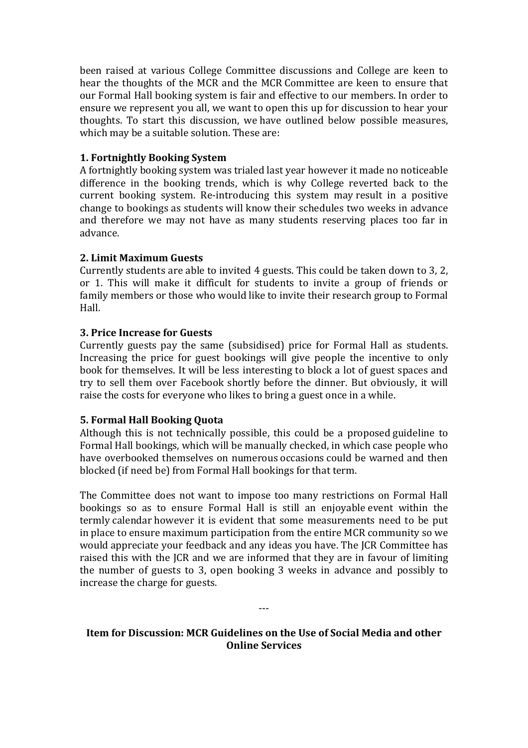been raised at various College Committee discussions and College are keen to hear the thoughts of the MCR and the MCR Committee are keen to ensure that our Formal Hall booking system is fair and effective to our members. In order to ensure we represent you all, we want to open this up for discussion to hear your thoughts. To start this discussion, we have outlined below possible measures, which may be a suitable solution. These are:

# **1. Fortnightly Booking System**

A fortnightly booking system was trialed last year however it made no noticeable difference in the booking trends, which is why College reverted back to the current booking system. Re-introducing this system may result in a positive change to bookings as students will know their schedules two weeks in advance and therefore we may not have as many students reserving places too far in advance.

### **2. Limit Maximum Guests**

Currently students are able to invited 4 guests. This could be taken down to 3, 2, or 1. This will make it difficult for students to invite a group of friends or family members or those who would like to invite their research group to Formal Hall.

# **3. Price Increase for Guests**

Currently guests pay the same (subsidised) price for Formal Hall as students. Increasing the price for guest bookings will give people the incentive to only book for themselves. It will be less interesting to block a lot of guest spaces and try to sell them over Facebook shortly before the dinner. But obviously, it will raise the costs for everyone who likes to bring a guest once in a while.

# **5. Formal Hall Booking Quota**

Although this is not technically possible, this could be a proposed guideline to Formal Hall bookings, which will be manually checked, in which case people who have overbooked themselves on numerous occasions could be warned and then blocked (if need be) from Formal Hall bookings for that term.

The Committee does not want to impose too many restrictions on Formal Hall bookings so as to ensure Formal Hall is still an enjoyable event within the termly calendar however it is evident that some measurements need to be put in place to ensure maximum participation from the entire MCR community so we would appreciate your feedback and any ideas you have. The JCR Committee has raised this with the JCR and we are informed that they are in favour of limiting the number of guests to 3, open booking  $3$  weeks in advance and possibly to increase the charge for guests.

# **Item for Discussion: MCR Guidelines on the Use of Social Media and other Online Services**

---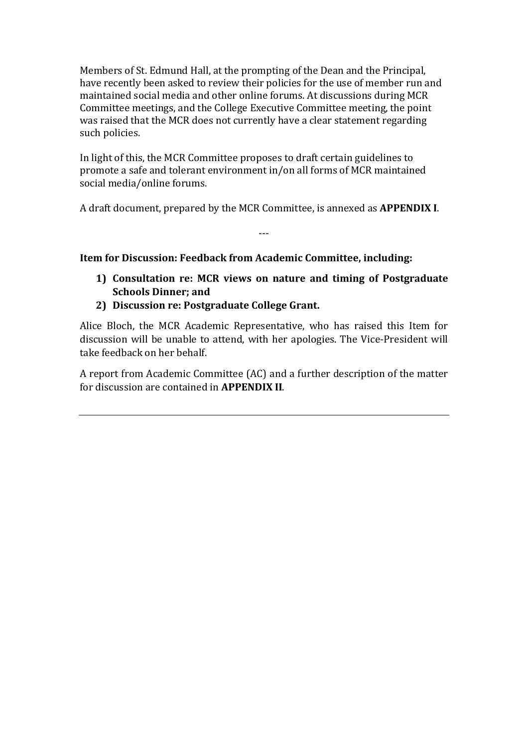Members of St. Edmund Hall, at the prompting of the Dean and the Principal, have recently been asked to review their policies for the use of member run and maintained social media and other online forums. At discussions during MCR Committee meetings, and the College Executive Committee meeting, the point was raised that the MCR does not currently have a clear statement regarding such policies.

In light of this, the MCR Committee proposes to draft certain guidelines to promote a safe and tolerant environment in/on all forms of MCR maintained social media/online forums.

A draft document, prepared by the MCR Committee, is annexed as **APPENDIX I**.

---

**Item for Discussion: Feedback from Academic Committee, including:** 

- **1)** Consultation re: MCR views on nature and timing of Postgraduate **Schools Dinner; and**
- **2) Discussion re: Postgraduate College Grant.**

Alice Bloch, the MCR Academic Representative, who has raised this Item for discussion will be unable to attend, with her apologies. The Vice-President will take feedback on her behalf.

A report from Academic Committee (AC) and a further description of the matter for discussion are contained in **APPENDIX II**.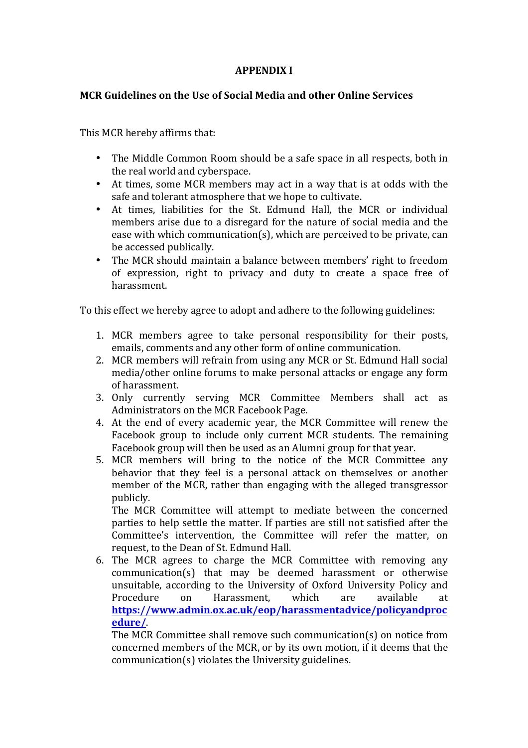## **APPENDIX I**

### **MCR Guidelines on the Use of Social Media and other Online Services**

This MCR hereby affirms that:

- The Middle Common Room should be a safe space in all respects, both in the real world and cyberspace.
- At times, some MCR members may act in a way that is at odds with the safe and tolerant atmosphere that we hope to cultivate.
- At times, liabilities for the St. Edmund Hall, the MCR or individual members arise due to a disregard for the nature of social media and the ease with which communication(s), which are perceived to be private, can be accessed publically.
- The MCR should maintain a balance between members' right to freedom of expression, right to privacy and duty to create a space free of harassment.

To this effect we hereby agree to adopt and adhere to the following guidelines:

- 1. MCR members agree to take personal responsibility for their posts, emails, comments and any other form of online communication.
- 2. MCR members will refrain from using any MCR or St. Edmund Hall social media/other online forums to make personal attacks or engage any form of harassment.
- 3. Only currently serving MCR Committee Members shall act as Administrators on the MCR Facebook Page.
- 4. At the end of every academic year, the MCR Committee will renew the Facebook group to include only current MCR students. The remaining Facebook group will then be used as an Alumni group for that year.
- 5. MCR members will bring to the notice of the MCR Committee any behavior that they feel is a personal attack on themselves or another member of the MCR, rather than engaging with the alleged transgressor publicly.

The MCR Committee will attempt to mediate between the concerned parties to help settle the matter. If parties are still not satisfied after the Committee's intervention, the Committee will refer the matter, on request, to the Dean of St. Edmund Hall.

6. The MCR agrees to charge the MCR Committee with removing any communication(s) that may be deemed harassment or otherwise unsuitable, according to the University of Oxford University Policy and Procedure on Harassment, which are available at **https://www.admin.ox.ac.uk/eop/harassmentadvice/policyandproc edure/**. 

The MCR Committee shall remove such communication(s) on notice from concerned members of the MCR, or by its own motion, if it deems that the  $communication(s)$  violates the University guidelines.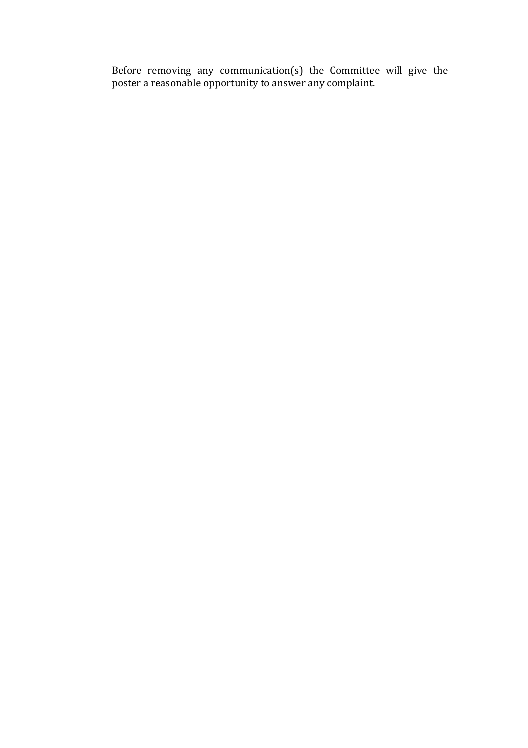Before removing any communication(s) the Committee will give the poster a reasonable opportunity to answer any complaint.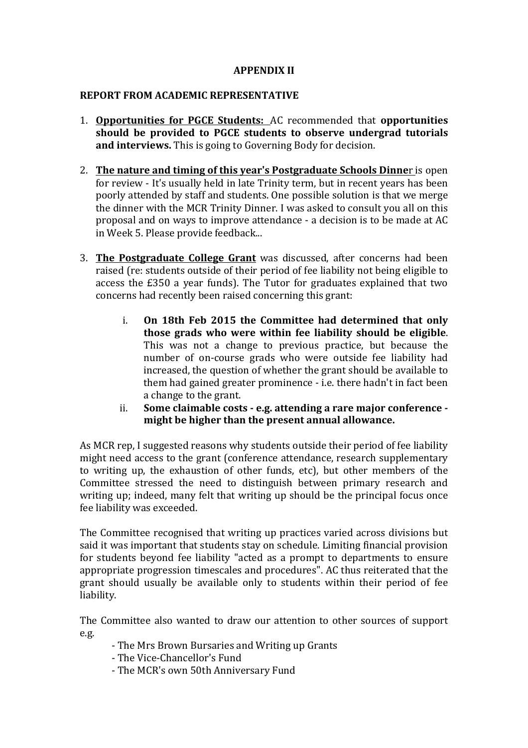### **APPENDIX II**

### **REPORT FROM ACADEMIC REPRESENTATIVE**

- 1. **Opportunities for PGCE Students:** AC recommended that **opportunities** should be provided to PGCE students to observe undergrad tutorials **and interviews.** This is going to Governing Body for decision.
- 2. **The nature and timing of this year's Postgraduate Schools Dinner** is open for review - It's usually held in late Trinity term, but in recent years has been poorly attended by staff and students. One possible solution is that we merge the dinner with the MCR Trinity Dinner. I was asked to consult you all on this proposal and on ways to improve attendance - a decision is to be made at AC in Week 5. Please provide feedback...
- 3. **The Postgraduate College Grant** was discussed, after concerns had been raised (re: students outside of their period of fee liability not being eligible to access the £350 a year funds). The Tutor for graduates explained that two concerns had recently been raised concerning this grant:
	- i. On 18th Feb 2015 the Committee had determined that only those grads who were within fee liability should be eligible. This was not a change to previous practice, but because the number of on-course grads who were outside fee liability had increased, the question of whether the grant should be available to them had gained greater prominence - i.e. there hadn't in fact been a change to the grant.
	- ii. Some claimable costs e.g. attending a rare major conference might be higher than the present annual allowance.

As MCR rep, I suggested reasons why students outside their period of fee liability might need access to the grant (conference attendance, research supplementary to writing up, the exhaustion of other funds, etc), but other members of the Committee stressed the need to distinguish between primary research and writing up; indeed, many felt that writing up should be the principal focus once fee liability was exceeded.

The Committee recognised that writing up practices varied across divisions but said it was important that students stay on schedule. Limiting financial provision for students beyond fee liability "acted as a prompt to departments to ensure appropriate progression timescales and procedures". AC thus reiterated that the grant should usually be available only to students within their period of fee liability.

The Committee also wanted to draw our attention to other sources of support e.g.

- The Mrs Brown Bursaries and Writing up Grants
- The Vice-Chancellor's Fund
- The MCR's own 50th Anniversary Fund